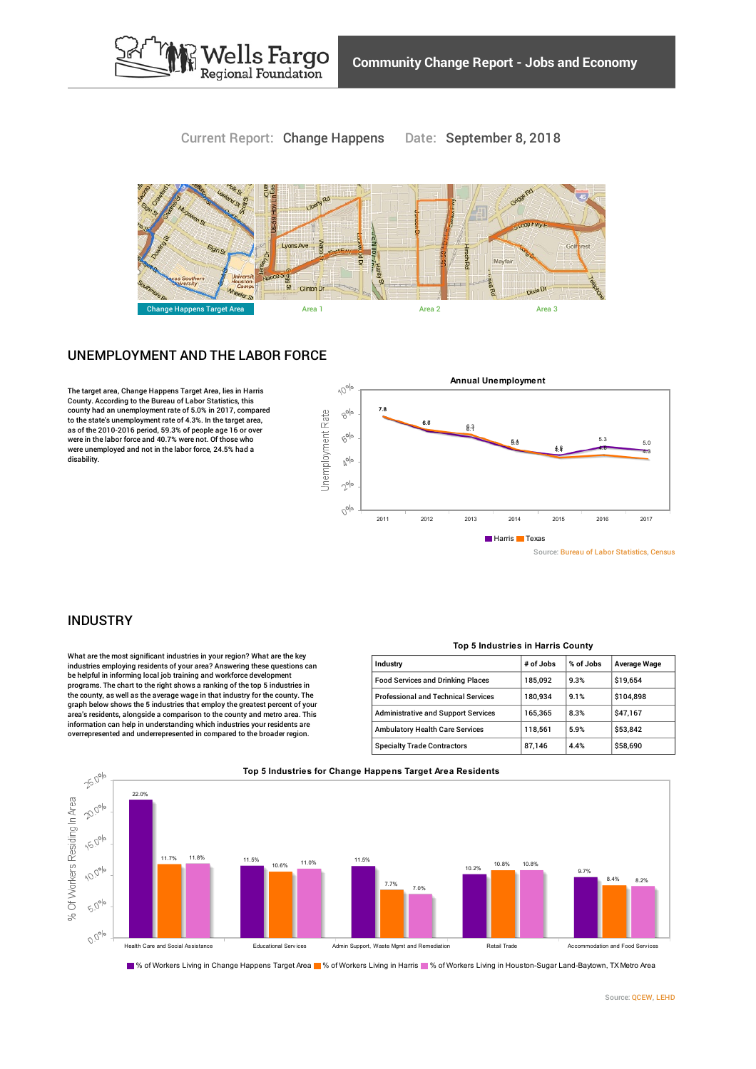

## Current Report: Change Happens Date: September 8, 2018



# UNEMPLOYMENT AND THE LABOR FORCE

The target area, Change Happens Target Area, lies in Harris County. According to the Bureau of Labor Statistics, this county had an unemployment rate of 5.0% in 2017, compared to the state's unemployment rate of 4.3%. In the target area, as of the 2010-2016 period, 59.3% of people age 16 or over were in the labor force and 40.7% were not. Of those who were unemployed and not in the labor force, 24.5% had a disability.



### INDUSTRY

What are the most significant industries in your region? What are the key industries employing residents of your area? Answering these questions can be helpful in informing local job training and workforce development programs. The chart to the right shows a ranking of the top 5 industries in the county, as well as the average wage in that industry for the county. The graph below shows the 5 industries that employ the greatest percent of your area's residents, alongside a comparison to the county and metro area. This information can help in understanding which industries your residents are overrepresented and underrepresented in compared to the broader region.

| Industry                                   | # of Jobs | % of Jobs | Average Wage |
|--------------------------------------------|-----------|-----------|--------------|
| <b>Food Services and Drinking Places</b>   | 185.092   | 9.3%      | \$19.654     |
| <b>Professional and Technical Services</b> | 180.934   | 9.1%      | \$104.898    |
| <b>Administrative and Support Services</b> | 165.365   | 8.3%      | \$47,167     |
| <b>Ambulatory Health Care Services</b>     | 118,561   | 5.9%      | \$53,842     |
| <b>Specialty Trade Contractors</b>         | 87,146    | 4.4%      | \$58,690     |



■% of Workers Living in Change Happens Target Area ■% of Workers Living in Harris ■% of Workers Living in Houston-Sugar Land-Baytown, TX Metro Area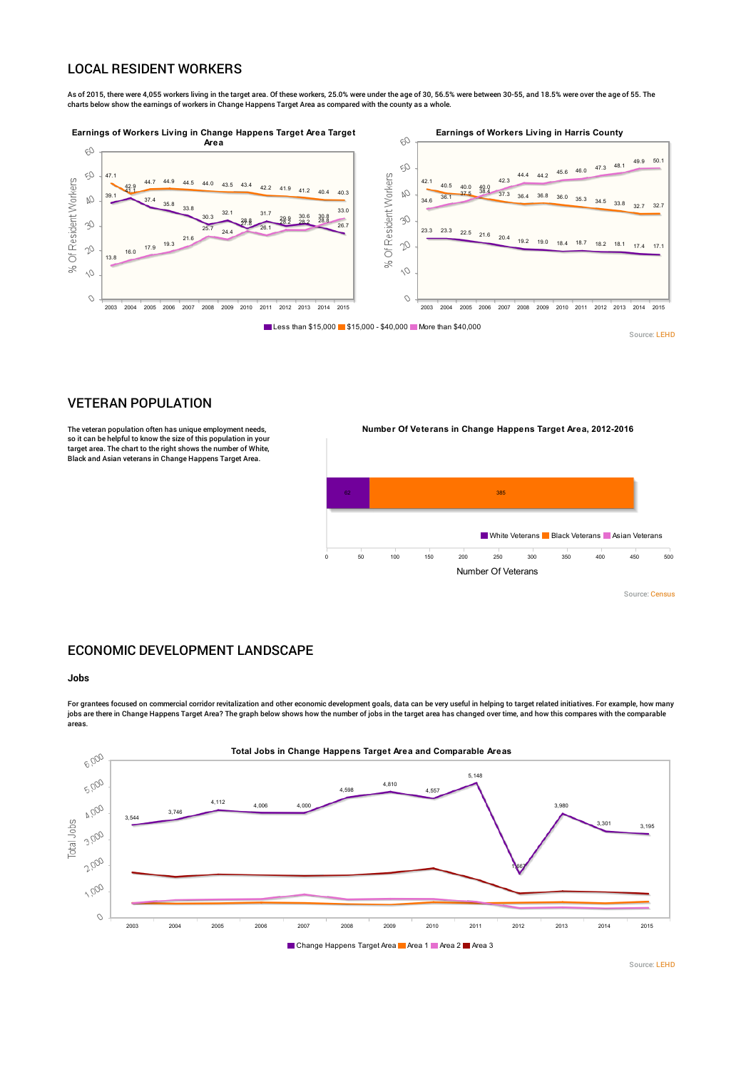## LOCAL RESIDENT WORKERS

As of 2015, there were 4,055 workers living in the target area. Of these workers, 25.0% were under the age of 30, 56.5% were between 30-55, and 18.5% were over the age of 55. The charts below show the earnings of workers in Change Happens Target Area as compared with the county as a whole.



Source: [LEHD](http://www.policymap.com/our-data-directory.html#Census: Longitudinal Employer - Household Dynamics)

### VETERAN POPULATION

The veteran population often has unique employment needs, so it can be helpful to know the size of this population in your target area. The chart to the right shows the number of White, Black and Asian veterans in Change Happens Target Area.

**Number Of Veterans in Change Happens Target Area, 2012-2016**



Source: [Census](http://www.policymap.com/our-data-directory.html#Census: Decennial Census and American Community Survey (ACS))

# ECONOMIC DEVELOPMENT LANDSCAPE

### **Jobs**

For grantees focused on commercial corridor revitalization and other economic development goals, data can be very useful in helping to target related initiatives. For example, how many jobs are there in Change Happens Target Area? The graph below shows how the number of jobs in the target area has changed over time, and how this compares with the comparable areas.



Source: [LEHD](http://www.policymap.com/our-data-directory.html#Census: Longitudinal Employer - Household Dynamics)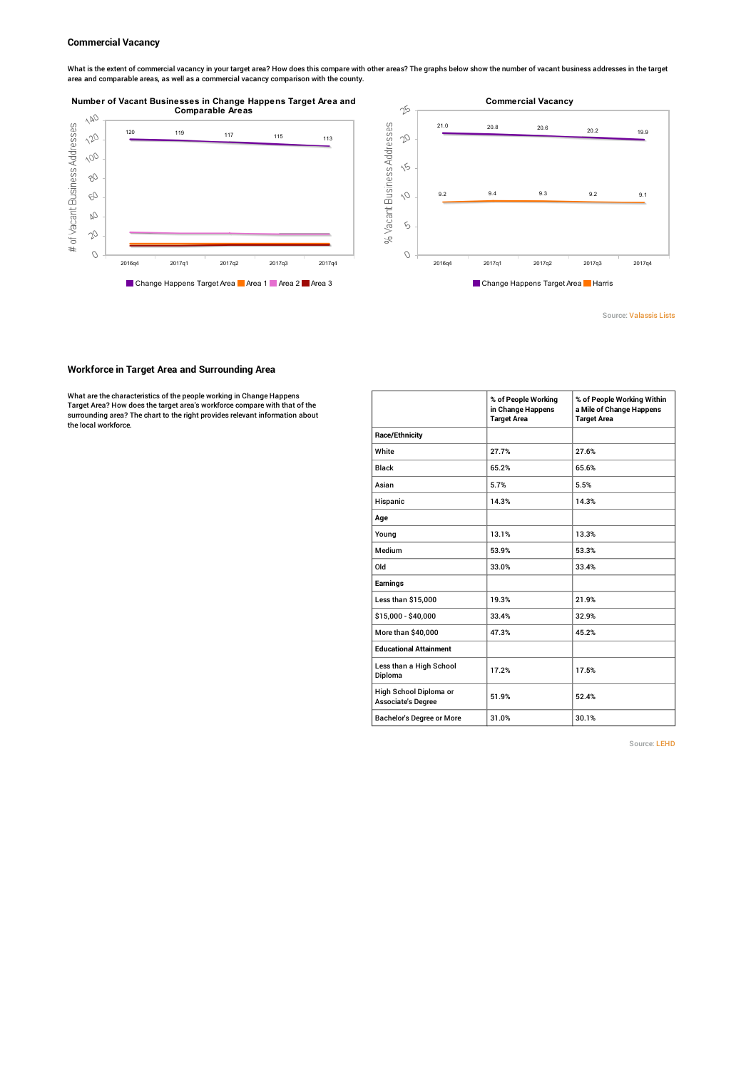#### **Commercial Vacancy**

What is the extent of commercial vacancy in your target area? How does this compare with other areas? The graphs below show the number of vacant business addresses in the target<br>area and comparable areas, as well as a comm

## **Number of Vacant Businesses in Change Happens Target Area and**





Source: [Valassis](http://www.policymap.com/our-data-directory.html#Valassis Lists) Lists

#### **Workforce in Target Area and Surrounding Area**

What are the characteristics of the people working in Change Happens Target Area? How does the target area's workforce compare with that of the surrounding area? The chart to the right provides relevant information about the local workforce.

|                                                     | % of People Working<br>in Change Happens<br><b>Target Area</b> | % of People Working Within<br>a Mile of Change Happens<br><b>Target Area</b> |
|-----------------------------------------------------|----------------------------------------------------------------|------------------------------------------------------------------------------|
| <b>Race/Ethnicity</b>                               |                                                                |                                                                              |
| White                                               | 27.7%                                                          | 27.6%                                                                        |
| <b>Black</b>                                        | 65.2%                                                          | 65.6%                                                                        |
| Asian                                               | 5.7%                                                           | 5.5%                                                                         |
| Hispanic                                            | 14.3%                                                          | 14.3%                                                                        |
| Age                                                 |                                                                |                                                                              |
| Young                                               | 13.1%                                                          | 13.3%                                                                        |
| Medium                                              | 53.9%                                                          | 53.3%                                                                        |
| Old                                                 | 33.0%                                                          | 33.4%                                                                        |
| Earnings                                            |                                                                |                                                                              |
| Less than \$15,000                                  | 19.3%                                                          | 21.9%                                                                        |
| \$15,000 - \$40,000                                 | 33.4%                                                          | 32.9%                                                                        |
| More than \$40,000                                  | 47.3%                                                          | 45.2%                                                                        |
| <b>Educational Attainment</b>                       |                                                                |                                                                              |
| Less than a High School<br>Diploma                  | 17.2%                                                          | 17.5%                                                                        |
| High School Diploma or<br><b>Associate's Degree</b> | 51.9%                                                          | 52.4%                                                                        |
| <b>Bachelor's Degree or More</b>                    | 31.0%                                                          | 30.1%                                                                        |

Source: [LEHD](http://www.policymap.com/our-data-directory.html#Census: Longitudinal Employer - Household Dynamics)